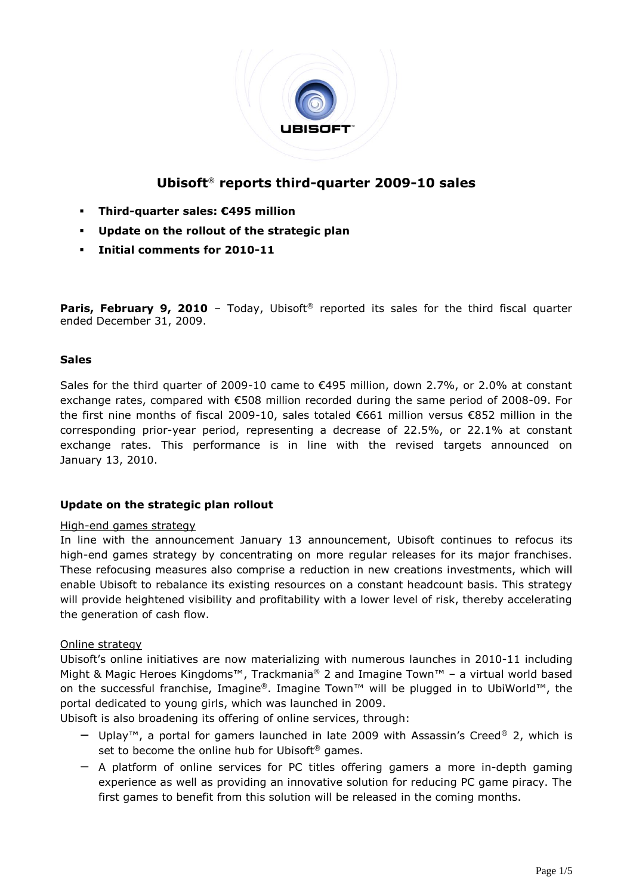

# **Ubisoft**® **reports third-quarter 2009-10 sales**

- **Third-quarter sales: €495 million**
- **Update on the rollout of the strategic plan**
- **Initial comments for 2010-11**

**Paris, February 9, 2010** - Today, Ubisoft<sup>®</sup> reported its sales for the third fiscal quarter ended December 31, 2009.

### **Sales**

Sales for the third quarter of 2009-10 came to  $\epsilon$ 495 million, down 2.7%, or 2.0% at constant exchange rates, compared with €508 million recorded during the same period of 2008-09. For the first nine months of fiscal 2009-10, sales totaled €661 million versus €852 million in the corresponding prior-year period, representing a decrease of 22.5%, or 22.1% at constant exchange rates. This performance is in line with the revised targets announced on January 13, 2010.

## **Update on the strategic plan rollout**

### High-end games strategy

In line with the announcement January 13 announcement, Ubisoft continues to refocus its high-end games strategy by concentrating on more regular releases for its major franchises. These refocusing measures also comprise a reduction in new creations investments, which will enable Ubisoft to rebalance its existing resources on a constant headcount basis. This strategy will provide heightened visibility and profitability with a lower level of risk, thereby accelerating the generation of cash flow.

#### Online strategy

Ubisoft's online initiatives are now materializing with numerous launches in 2010-11 including Might & Magic Heroes Kingdoms<sup>™</sup>, Trackmania® 2 and Imagine Town<sup>™</sup> - a virtual world based on the successful franchise, Imagine®. Imagine Town™ will be plugged in to UbiWorld™, the portal dedicated to young girls, which was launched in 2009.

Ubisoft is also broadening its offering of online services, through:

- − Uplay™, a portal for gamers launched in late 2009 with Assassin's Creed® 2, which is set to become the online hub for Ubisoft<sup>®</sup> games.
- − A platform of online services for PC titles offering gamers a more in-depth gaming experience as well as providing an innovative solution for reducing PC game piracy. The first games to benefit from this solution will be released in the coming months.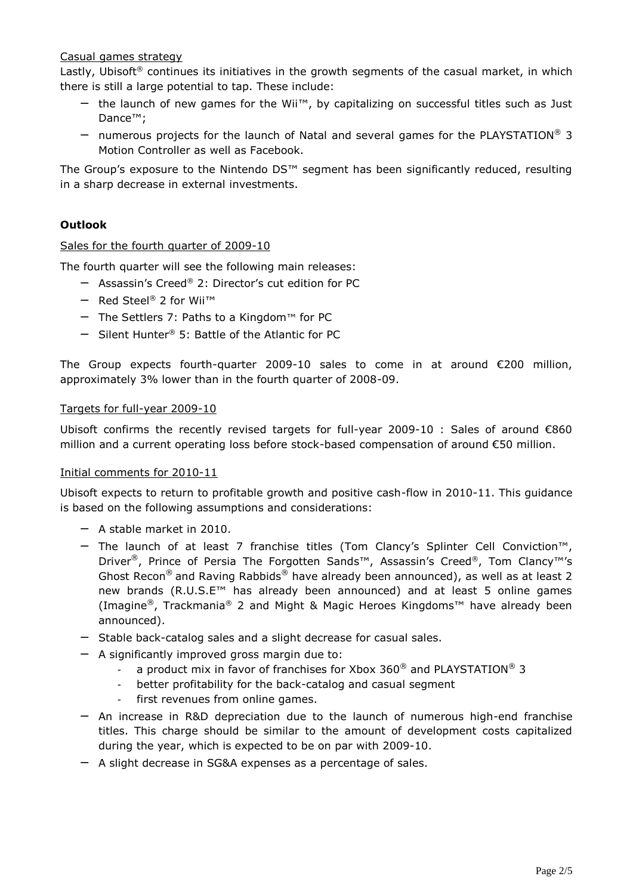## Casual games strategy

Lastly, Ubisoft<sup>®</sup> continues its initiatives in the growth segments of the casual market, in which there is still a large potential to tap. These include:

- − the launch of new games for the Wii™, by capitalizing on successful titles such as Just Dance™;
- − numerous projects for the launch of Natal and several games for the PLAYSTATION® 3 Motion Controller as well as Facebook.

The Group's exposure to the Nintendo DS™ segment has been significantly reduced, resulting in a sharp decrease in external investments.

## **Outlook**

#### Sales for the fourth quarter of 2009-10

The fourth quarter will see the following main releases:

- − Assassin's Creed® 2: Director's cut edition for PC
- − Red Steel® 2 for Wii™
- − The Settlers 7: Paths to a Kingdom™ for PC
- − Silent Hunter® 5: Battle of the Atlantic for PC

The Group expects fourth-quarter 2009-10 sales to come in at around €200 million, approximately 3% lower than in the fourth quarter of 2008-09.

#### Targets for full-year 2009-10

Ubisoft confirms the recently revised targets for full-year 2009-10 : Sales of around €860 million and a current operating loss before stock-based compensation of around €50 million.

#### Initial comments for 2010-11

Ubisoft expects to return to profitable growth and positive cash-flow in 2010-11. This guidance is based on the following assumptions and considerations:

- − A stable market in 2010.
- − The launch of at least 7 franchise titles (Tom Clancy's Splinter Cell Conviction™, Driver<sup>®</sup>, Prince of Persia The Forgotten Sands™, Assassin's Creed®, Tom Clancy™'s Ghost Recon<sup>®</sup> and Raving Rabbids<sup>®</sup> have already been announced), as well as at least 2 new brands (R.U.S.E™ has already been announced) and at least 5 online games (Imagine®, Trackmania® 2 and Might & Magic Heroes Kingdoms™ have already been announced).
- − Stable back-catalog sales and a slight decrease for casual sales.
- − A significantly improved gross margin due to:
	- a product mix in favor of franchises for Xbox 360 $^{\circ}$  and PLAYSTATION $^{\circ}$  3
	- better profitability for the back-catalog and casual segment
	- first revenues from online games.
- − An increase in R&D depreciation due to the launch of numerous high-end franchise titles. This charge should be similar to the amount of development costs capitalized during the year, which is expected to be on par with 2009-10.
- − A slight decrease in SG&A expenses as a percentage of sales.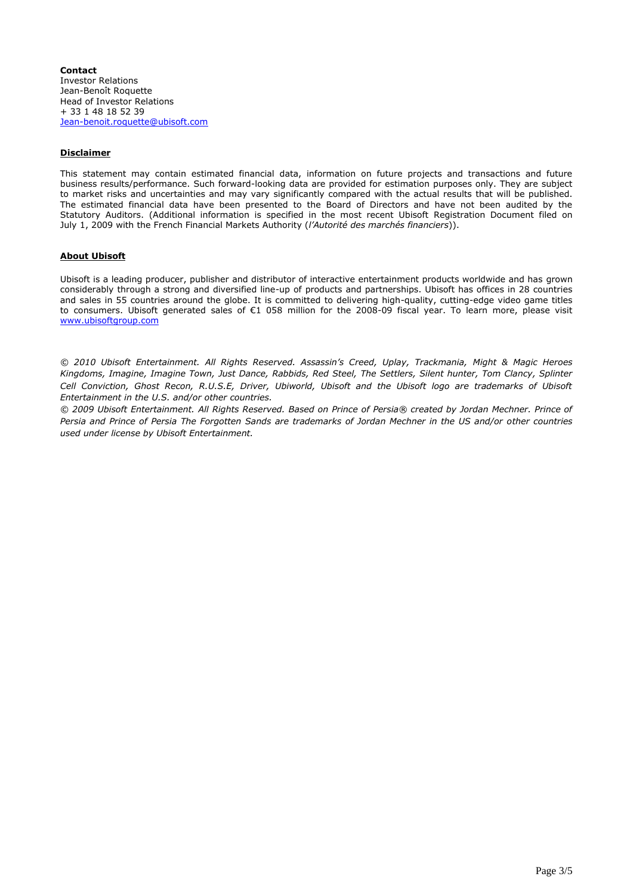**Contact** Investor Relations Jean-Benoît Roquette Head of Investor Relations + 33 1 48 18 52 39 [Jean-benoit.roquette@ubisoft.com](mailto:Jean-benoit.roquette@ubisoft.com)

#### **Disclaimer**

This statement may contain estimated financial data, information on future projects and transactions and future business results/performance. Such forward-looking data are provided for estimation purposes only. They are subject to market risks and uncertainties and may vary significantly compared with the actual results that will be published. The estimated financial data have been presented to the Board of Directors and have not been audited by the Statutory Auditors. (Additional information is specified in the most recent Ubisoft Registration Document filed on July 1, 2009 with the French Financial Markets Authority (*l'Autorité des marchés financiers*)).

#### **About Ubisoft**

Ubisoft is a leading producer, publisher and distributor of interactive entertainment products worldwide and has grown considerably through a strong and diversified line-up of products and partnerships. Ubisoft has offices in 28 countries and sales in 55 countries around the globe. It is committed to delivering high-quality, cutting-edge video game titles to consumers. Ubisoft generated sales of €1 058 million for the 2008-09 fiscal year. To learn more, please visit [www.ubisoftgroup.com](http://www.ubisoftgroup.com/)

*© 2010 Ubisoft Entertainment. All Rights Reserved. Assassin's Creed, Uplay, Trackmania, Might & Magic Heroes Kingdoms, Imagine, Imagine Town, Just Dance, Rabbids, Red Steel, The Settlers, Silent hunter, Tom Clancy, Splinter*  Cell Conviction, Ghost Recon, R.U.S.E, Driver, Ubiworld, Ubisoft and the Ubisoft logo are trademarks of Ubisoft *Entertainment in the U.S. and/or other countries.*

*© 2009 Ubisoft Entertainment. All Rights Reserved. Based on Prince of Persia® created by Jordan Mechner. Prince of Persia and Prince of Persia The Forgotten Sands are trademarks of Jordan Mechner in the US and/or other countries used under license by Ubisoft Entertainment.*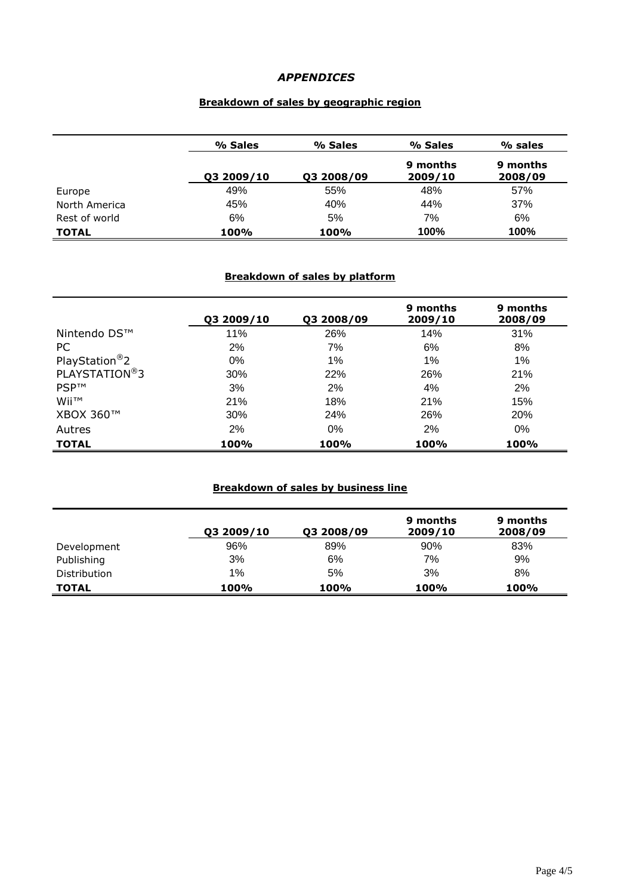# *APPENDICES*

# **Breakdown of sales by geographic region**

|               | % Sales    | % Sales    | % Sales             | % sales             |
|---------------|------------|------------|---------------------|---------------------|
|               | Q3 2009/10 | 03 2008/09 | 9 months<br>2009/10 | 9 months<br>2008/09 |
| Europe        | 49%        | 55%        | 48%                 | 57%                 |
| North America | 45%        | 40%        | 44%                 | 37%                 |
| Rest of world | 6%         | 5%         | 7%                  | 6%                  |
| <b>TOTAL</b>  | 100%       | 100%       | 100%                | 100%                |

### **Breakdown of sales by platform**

|                            | Q3 2009/10 | Q3 2008/09 | 9 months<br>2009/10 | 9 months<br>2008/09 |
|----------------------------|------------|------------|---------------------|---------------------|
| Nintendo DS™               | 11%        | 26%        | 14%                 | 31%                 |
| <sub>PC</sub>              | 2%         | 7%         | 6%                  | 8%                  |
| PlayStation <sup>®</sup> 2 | 0%         | 1%         | $1\%$               | 1%                  |
| PLAYSTATION <sup>®</sup> 3 | 30%        | 22%        | 26%                 | 21%                 |
| <b>PSP™</b>                | 3%         | 2%         | 4%                  | 2%                  |
| Wii™                       | 21%        | 18%        | 21%                 | 15%                 |
| XBOX 360™                  | 30%        | 24%        | 26%                 | <b>20%</b>          |
| Autres                     | 2%         | $0\%$      | 2%                  | 0%                  |
| <b>TOTAL</b>               | 100%       | 100%       | 100%                | 100%                |

# **Breakdown of sales by business line**

|              | Q3 2009/10 | Q3 2008/09 | 9 months<br>2009/10 | 9 months<br>2008/09 |
|--------------|------------|------------|---------------------|---------------------|
| Development  | 96%        | 89%        | 90%                 | 83%                 |
| Publishing   | 3%         | 6%         | 7%                  | 9%                  |
| Distribution | $1\%$      | 5%         | 3%                  | 8%                  |
| <b>TOTAL</b> | 100%       | 100%       | <b>100%</b>         | 100%                |